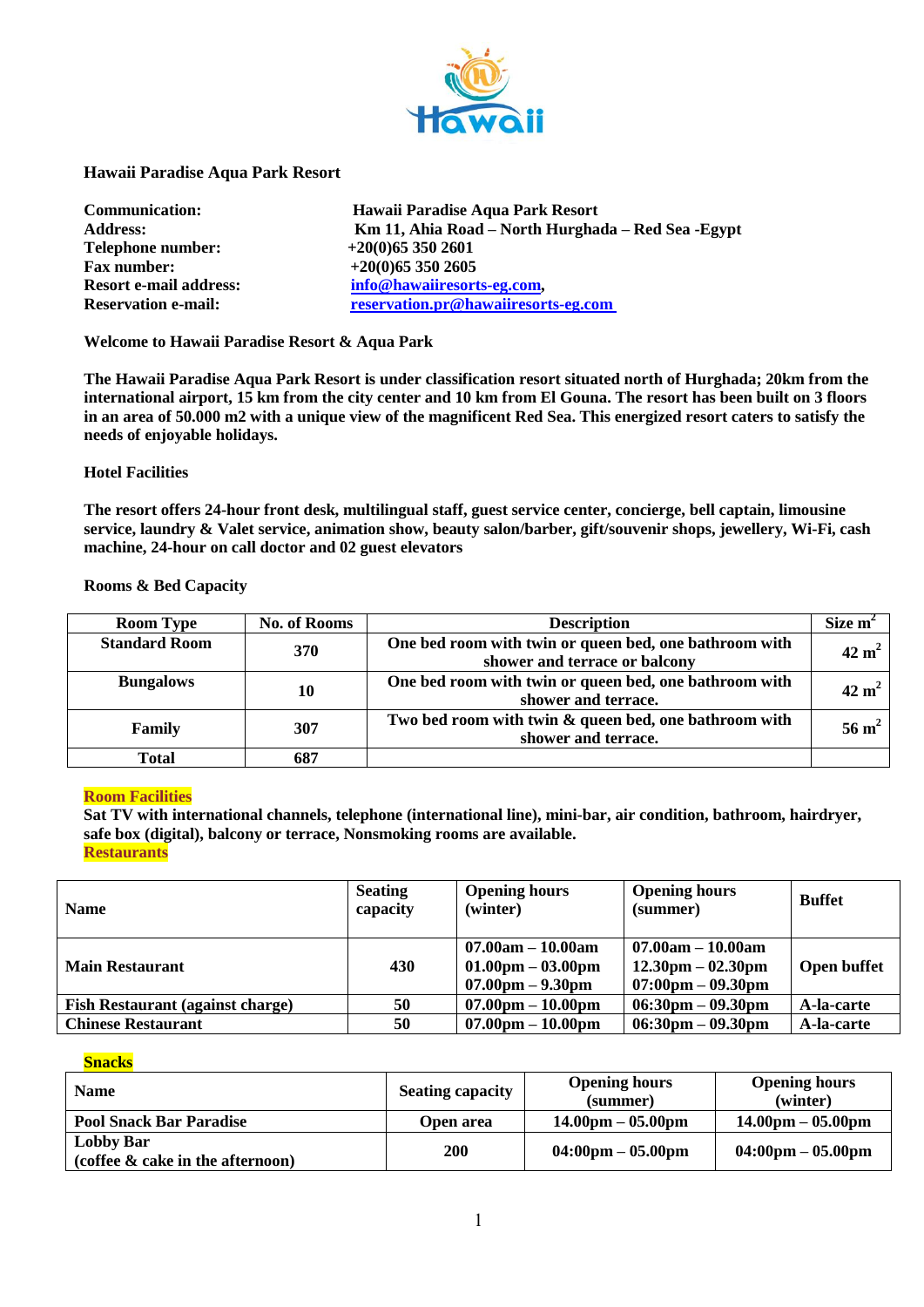

## **Hawaii Paradise Aqua Park Resort**

| Communication:                |
|-------------------------------|
| <b>Address:</b>               |
| <b>Telephone number:</b>      |
| <b>Fax number:</b>            |
| <b>Resort e-mail address:</b> |
| <b>Reservation e-mail:</b>    |

**Communication: Hawaii Paradise Aqua Park Resort Address: Km 11, Ahia Road – North Hurghada – Red Sea -Egypt Telephone number: +20(0)65 350 2601 Fax number: +20(0)65 350 2605** info@hawaiiresorts-eg.com,  $r$ **Reservation.pr@hawaiiresorts-eg.com** 

**Welcome to Hawaii Paradise Resort & Aqua Park**

**The Hawaii Paradise Aqua Park Resort is under classification resort situated north of Hurghada; 20km from the international airport, 15 km from the city center and 10 km from El Gouna. The resort has been built on 3 floors in an area of 50.000 m2 with a unique view of the magnificent Red Sea. This energized resort caters to satisfy the needs of enjoyable holidays.**

### **Hotel Facilities**

**The resort offers 24-hour front desk, multilingual staff, guest service center, concierge, bell captain, limousine service, laundry & Valet service, animation show, beauty salon/barber, gift/souvenir shops, jewellery, Wi-Fi, cash machine, 24-hour on call doctor and 02 guest elevators** 

## **Rooms & Bed Capacity**

| <b>Room Type</b>     | <b>No. of Rooms</b> | <b>Description</b>                                                                      | Size m <sup>2</sup> |
|----------------------|---------------------|-----------------------------------------------------------------------------------------|---------------------|
| <b>Standard Room</b> | <b>370</b>          | One bed room with twin or queen bed, one bathroom with<br>shower and terrace or balcony | $42 \text{ m}^2$    |
| <b>Bungalows</b>     | 10                  | One bed room with twin or queen bed, one bathroom with<br>shower and terrace.           | $42 \text{ m}^2$    |
| Family               | 307                 | Two bed room with twin & queen bed, one bathroom with<br>shower and terrace.            | $56 \text{ m}^2$    |
| Total                | 687                 |                                                                                         |                     |

# **Room Facilities**

**Sat TV with international channels, telephone (international line), mini-bar, air condition, bathroom, hairdryer, safe box (digital), balcony or terrace, Nonsmoking rooms are available. Restaurants**

| <b>Name</b>                             | <b>Seating</b><br>capacity | <b>Opening hours</b><br>(winter)                                                                 | <b>Opening hours</b><br>(summer)                                                                  | <b>Buffet</b> |
|-----------------------------------------|----------------------------|--------------------------------------------------------------------------------------------------|---------------------------------------------------------------------------------------------------|---------------|
| <b>Main Restaurant</b>                  | 430                        | $07.00am - 10.00am$<br>$01.00 \text{pm} - 03.00 \text{pm}$<br>$07.00 \text{pm} - 9.30 \text{pm}$ | $07.00am - 10.00am$<br>$12.30 \text{pm} - 02.30 \text{pm}$<br>$07:00 \text{pm} - 09.30 \text{pm}$ | Open buffet   |
| <b>Fish Restaurant (against charge)</b> | 50                         | $07.00pm - 10.00pm$                                                                              | $06:30 \text{pm} - 09.30 \text{pm}$                                                               | A-la-carte    |
| <b>Chinese Restaurant</b>               | 50                         | $07.00pm - 10.00pm$                                                                              | $06:30 \text{pm} - 09.30 \text{pm}$                                                               | A-la-carte    |

### **Snacks**

| <b>Name</b>                                             | <b>Seating capacity</b> | <b>Opening hours</b><br>(summer)    | <b>Opening hours</b><br>(winter)    |
|---------------------------------------------------------|-------------------------|-------------------------------------|-------------------------------------|
| <b>Pool Snack Bar Paradise</b>                          | Open area               | $14.00pm - 05.00pm$                 | $14.00 \text{pm} - 05.00 \text{pm}$ |
| <b>Lobby Bar</b><br>$(coffee \& cake in the afternoon)$ | <b>200</b>              | $04:00 \text{pm} - 05.00 \text{pm}$ | $04:00 \text{pm} - 05.00 \text{pm}$ |